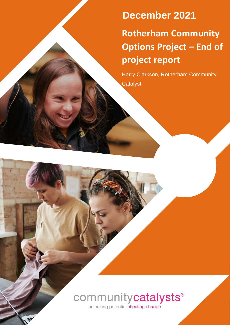**Rotherham Community Options Project – End of project report December 2021**

Harry Clarkson, Rotherham Community **Catalyst** 



unlocking potential effecting change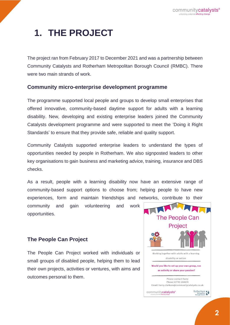# **1. THE PROJECT**

The project ran from February 2017 to December 2021 and was a partnership between Community Catalysts and Rotherham Metropolitan Borough Council (RMBC). There were two main strands of work.

### **Community micro-enterprise development programme**

The programme supported local people and groups to develop small enterprises that offered innovative, community-based daytime support for adults with a learning disability. New, developing and existing enterprise leaders joined the Community Catalysts development programme and were supported to meet the 'Doing it Right Standards' to ensure that they provide safe, reliable and quality support.

Community Catalysts supported enterprise leaders to understand the types of opportunities needed by people in Rotherham. We also signposted leaders to other key organisations to gain business and marketing advice, training, insurance and DBS checks.

As a result, people with a learning disability now have an extensive range of community-based support options to choose from; helping people to have new experiences, form and maintain friendships and networks, contribute to their

community and gain volunteering and work opportunities.

### **The People Can Project**

The People Can Project worked with individuals or small groups of disabled people, helping them to lead their own projects, activities or ventures, with aims and outcomes personal to them.

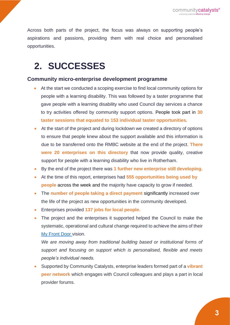Across both parts of the project, the focus was always on supporting people's aspirations and passions, providing them with real choice and personalised opportunities.

# **2. SUCCESSES**

### **Community micro-enterprise development programme**

- At the start we conducted a scoping exercise to find local community options for people with a learning disability. This was followed by a taster programme that gave people with a learning disability who used Council day services a chance to try activities offered by community support options. People took part in **30 taster sessions that equated to 153 individual taster opportunities***.*
- At the start of the project and during lockdown we created a directory of options to ensure that people knew about the support available and this information is due to be transferred onto the RMBC website at the end of the project. **There were 20 enterprises on this directory** that now provide quality, creative support for people with a learning disability who live in Rotherham.
- By the end of the project there was **1 further new enterprise still developing.**
- At the time of this report, enterprises had **555 opportunities being used by people** across the week and the majority have capacity to grow if needed.
- The **number of people taking a direct payment** significantly increased over the life of the project as new opportunities in the community developed.
- Enterprises provided **137 jobs for local people.**
- The project and the enterprises it supported helped the Council to make the systematic, operational and cultural change required to achieve the aims of their [My Front Door](https://www.rotherham.gov.uk/disabilities/front-door/1) vision.

*We are moving away from traditional building based or institutional forms of support and focusing on support which is personalised, flexible and meets people's individual needs.*

• Supported by Community Catalysts, enterprise leaders formed part of a **vibrant peer network** which engages with Council colleagues and plays a part in local provider forums.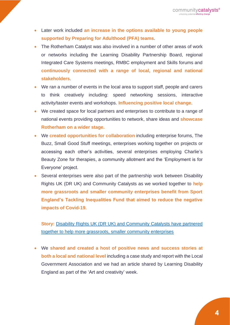- Later work included **an increase in the options available to young people supported by Preparing for Adulthood (PFA) teams**.
- The Rotherham Catalyst was also involved in a number of other areas of work or networks including the Learning Disability Partnership Board, regional Integrated Care Systems meetings, RMBC employment and Skills forums and **continuously connected with a range of local, regional and national stakeholders**.
- We ran a number of events in the local area to support staff, people and carers to think creatively including: speed networking sessions, interactive activity/taster events and workshops. **Influencing positive local change**.
- We created space for local partners and enterprises to contribute to a range of national events providing opportunities to network, share ideas and **showcase Rotherham on a wider stage.**
- We **created opportunities for collaboration** including enterprise forums, The Buzz, Small Good Stuff meetings, enterprises working together on projects or accessing each other's activities, several enterprises employing Charlie's Beauty Zone for therapies, a community allotment and the 'Employment is for Everyone' project.
- Several enterprises were also part of the partnership work between Disability Rights UK (DR UK) and Community Catalysts as we worked together to **help more grassroots and smaller community enterprises benefit from Sport England's Tackling Inequalities Fund that aimed to reduce the negative impacts of Covid-19.**

**Story:** [Disability Rights UK \(DR UK\) and Community Catalysts have partnered](https://www.communitycatalysts.co.uk/2021/05/06/partnership-project-helps-community-enterprises-and-disabled-people-get-active-together/)  [together to help more grassroots, smaller community enterprises](https://www.communitycatalysts.co.uk/2021/05/06/partnership-project-helps-community-enterprises-and-disabled-people-get-active-together/) 

• We **shared and created a host of positive news and success stories at both a local and national level** including a case study and report with the Local Government Association and we had an article shared by Learning Disability England as part of the 'Art and creativity' week.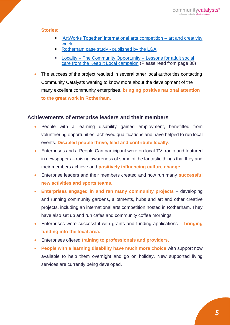#### **Stories:**

- ['ArtWorks Together' international arts competition –](https://www.communitycatalysts.co.uk/story/art-and-creativity-week-2021/) art and creativity [week](https://www.communitycatalysts.co.uk/story/art-and-creativity-week-2021/)
- [Rotherham case study -](https://eur02.safelinks.protection.outlook.com/?url=https%3A%2F%2Fwww.local.gov.uk%2Fcase-studies%2Funlocking-potential&data=04%7C01%7CBrook.Hayes%40rotherham.gov.uk%7Cb4af4de7a1ab472242c808d9b3f6dffb%7C46fbe6fd78ae47699c1dbcea97378af6%7C0%7C0%7C637738695869346727%7CUnknown%7CTWFpbGZsb3d8eyJWIjoiMC4wLjAwMDAiLCJQIjoiV2luMzIiLCJBTiI6Ik1haWwiLCJXVCI6Mn0%3D%7C2000&sdata=4531btTilHDC8ZP97HKTnSn06ht3dnNNoWD7%2F%2BMqGzM%3D&reserved=0) published by the LGA.
- Locality [The Community Opportunity –](https://locality.org.uk/wp-content/uploads/2021/12/The-Community-Opportunity-Final-1.pdf) Lessons for adult social [care from the Keep it Local campaign](https://locality.org.uk/wp-content/uploads/2021/12/The-Community-Opportunity-Final-1.pdf) (Please read from page 30)
- The success of the project resulted in several other local authorities contacting Community Catalysts wanting to know more about the development of the many excellent community enterprises, **bringing positive national attention to the great work in Rotherham.**

### **Achievements of enterprise leaders and their members**

- People with a learning disability gained employment, benefitted from volunteering opportunities, achieved qualifications and have helped to run local events. **Disabled people thrive, lead and contribute locally**.
- Enterprises and a People Can participant were on local TV, radio and featured in newspapers – raising awareness of some of the fantastic things that they and their members achieve and **positively influencing culture change**.
- Enterprise leaders and their members created and now run many **successful new activities and sports teams.**
- **Enterprises engaged in and ran many community projects** developing and running community gardens, allotments, hubs and art and other creative projects, including an international arts competition hosted in Rotherham. They have also set up and run cafes and community coffee mornings.
- Enterprises were successful with grants and funding applications **bringing funding into the local area.**
- Enterprises offered **training to professionals and providers.**
- **People with a learning disability have much more choice** with support now available to help them overnight and go on holiday. New supported living services are currently being developed.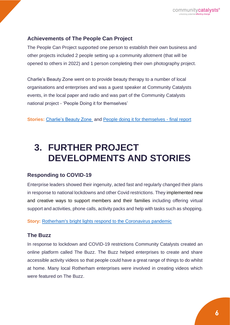### **Achievements of The People Can Project**

The People Can Project supported one person to establish their own business and other projects included 2 people setting up a community allotment (that will be opened to others in 2022) and 1 person completing their own photography project.

Charlie's Beauty Zone went on to provide beauty therapy to a number of local organisations and enterprises and was a guest speaker at Community Catalysts events, in the local paper and radio and was part of the Community Catalysts national project - 'People Doing it for themselves'

**Stories:** [Charlie's Beauty Zone](https://www.communitycatalysts.co.uk/story/charlies-beauty-zone/) and [People doing it for themselves -](https://www.communitycatalysts.co.uk/wp-content/uploads/2019/09/People-doing-it-for-themselves-final-report.pdf) final report

### **3. FURTHER PROJECT DEVELOPMENTS AND STORIES**

### **Responding to COVID-19**

Enterprise leaders showed their ingenuity, acted fast and regularly changed their plans in response to national lockdowns and other Covid restrictions. They implemented new and creative ways to support members and their families including offering virtual support and activities, phone calls, activity packs and help with tasks such as shopping.

**Story:** [Rotherham's bright lights respond to the Coronavirus pandemic](http://www.communitycatalysts.co.uk/story/rotherhams-bright-lights-responding-to-the-coronavirus/) 

### **The Buzz**

In response to lockdown and COVID-19 restrictions Community Catalysts created an online platform called The Buzz. The Buzz helped enterprises to create and share accessible activity videos so that people could have a great range of things to do whilst at home. Many local Rotherham enterprises were involved in creating videos which were featured on The Buzz.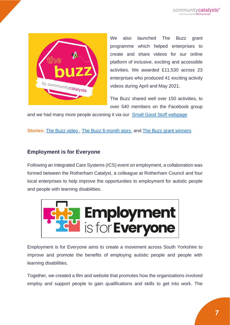

We also launched The Buzz grant programme which helped enterprises to create and share videos for our online platform of inclusive, exciting and accessible activities. We awarded £11,530 across 23 enterprises who produced 41 exciting activity videos during April and May 2021.

The Buzz shared well over 150 activities, to over 540 members on the Facebook group

and we had many more people accesing it via our [Small Good Stuff webpage](https://www.smallgoodstuff.co.uk/the-buzz/) 

**Stories:** [The Buzz video ,](https://youtu.be/76rLMspyQ5w) [The Buzz 6-month story](http://www.communitycatalysts.co.uk/2020/11/03/the-buzz-6-months-on-and-over-100-activities/) and [The Buzz grant winners](https://youtu.be/Qg_u5aaqW0M)

### **Employment is for Everyone**

Following an Integrated Care Systems (ICS) event on employment, a collaboration was formed between the Rotherham Catalyst, a colleague at Rotherham Council and four local enterprises to help improve the opportunities to employment for autistic people and people with learning disabilities.



Employment is for Everyone aims to create a movement across South Yorkshire to improve and promote the benefits of employing autistic people and people with learning disabilities.

Together, we created a film and website that promotes how the organisations involved employ and support people to gain qualifications and skills to get into work. The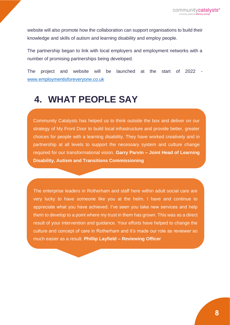website will also promote how the collaboration can support organisations to build their knowledge and skills of autism and learning disability and employ people.

The partnership began to link with local employers and employment networks with a number of promising partnerships being developed.

The project and website will be launched at the start of 2022 [www.employmentisforeveryone.co.uk](http://www.employmentisforeveryone.co.uk/)

## **4. WHAT PEOPLE SAY**

Community Catalysts has helped us to think outside the box and deliver on our strategy of My Front Door to build local infrastructure and provide better, greater choices for people with a learning disability. They have worked creatively and in partnership at all levels to support the necessary system and culture change required for our transformational vision. **Garry Parvin – Joint Head of Learning Disability, Autism and Transitions Commissioning** 

The enterprise leaders in Rotherham and staff here within adult social care are very lucky to have someone like you at the helm. I have and continue to appreciate what you have achieved. I've seen you take new services and help them to develop to a point where my trust in them has grown. This was as a direct result of your intervention and guidance. Your efforts have helped to change the culture and concept of care in Rotherham and it's made our role as reviewer so much easier as a result. **Phillip Layfield – Reviewing Officer**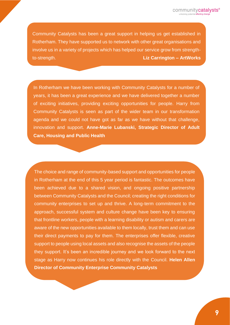Community Catalysts has been a great support in helping us get established in Rotherham. They have supported us to network with other great organisations and involve us in a variety of projects which has helped our service grow from strengthto-strength. **Liz Carrington – ArtWorks** 

**Director**

In Rotherham we have been working with Community Catalysts for a number of years, it has been a great experience and we have delivered together a number of exciting initiatives, providing exciting opportunities for people. Harry from Community Catalysts is seen as part of the wider team in our transformation agenda and we could not have got as far as we have without that challenge, innovation and support. **Anne-Marie Lubanski, Strategic Director of Adult Care, Housing and Public Health**

The choice and range of community-based support and opportunities for people in Rotherham at the end of this 5 year period is fantastic. The outcomes have been achieved due to a shared vision, and ongoing positive partnership between Community Catalysts and the Council; creating the right conditions for community enterprises to set up and thrive. A long-term commitment to the approach, successful system and culture change have been key to ensuring that frontline workers, people with a learning disability or autism and carers are aware of the new opportunities available to them locally, trust them and can use their direct payments to pay for them. The enterprises offer flexible, creative support to people using local assets and also recognise the assets of the people they support. It's been an incredible journey and we look forward to the next stage as Harry now continues his role directly with the Council. **Helen Allen Director of Community Enterprise Community Catalysts**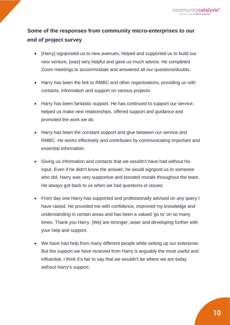### **Some of the responses from community micro-enterprises to our end of project survey**

- [Harry] signposted us to new avenues, helped and supported us to build our new venture, [was] very helpful and gave us much advice. He completed Zoom meetings to accommodate and answered all our questions/doubts.
- Harry has been the link to RMBC and other organisations, providing us with contacts, information and support on various projects.
- Harry has been fantastic support. He has continued to support our service, helped us make new relationships, offered support and guidance and promoted the work we do.
- Harry has been the constant support and glue between our service and RMBC. He works effectively and contributes by communicating important and essential information.
- Giving us information and contacts that we wouldn't have had without his input. Even if he didn't know the answer, he would signpost us to someone who did. Harry was very supportive and boosted morale throughout the team. He always got back to us when we had questions or issues.
- From day one Harry has supported and professionally advised on any query I have raised. He provided me with confidence, improved my knowledge and understanding in certain areas and has been a valued 'go to' on so many times. Thank you Harry. [We] are stronger, wiser and developing further with your help and support.
- We have had help from many different people while setting up our enterprise. But the support we have received from Harry is arguably the most useful and influential. I think it's fair to say that we wouldn't be where we are today without Harry's support.